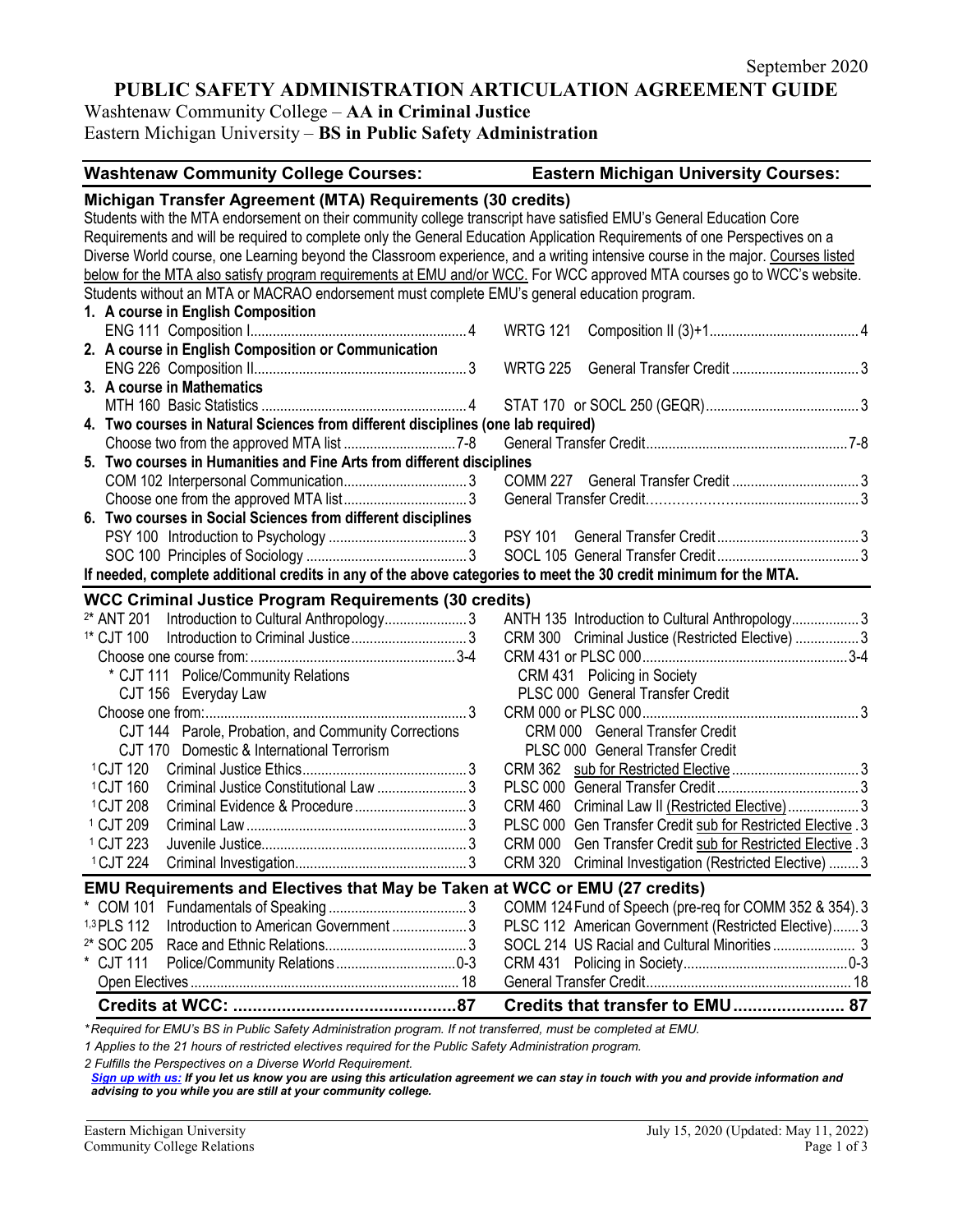## **PUBLIC SAFETY ADMINISTRATION ARTICULATION AGREEMENT GUIDE**

Washtenaw Community College – **AA in Criminal Justice**

Eastern Michigan University – **BS in Public Safety Administration**

# **Washtenaw Community College Courses: Eastern Michigan University Courses: Michigan Transfer Agreement (MTA) Requirements (30 credits)** Students with the MTA endorsement on their community college transcript have satisfied EMU's General Education Core Requirements and will be required to complete only the General Education Application Requirements of one Perspectives on a Diverse World course, one Learning beyond the Classroom experience, and a writing intensive course in the major. Courses listed below for the MTA also satisfy program requirements at EMU and/or WCC. For WCC approved MTA courses go to WCC's website. Students without an MTA or MACRAO endorsement must complete EMU's general education program. **1. A course in English Composition** ENG 111 Composition I.......................................................... 4 WRTG 121 Composition II (3)+1........................................ 4 **2. A course in English Composition or Communication** ENG 226 Composition II......................................................... 3 WRTG 225 General Transfer Credit .................................. 3 **3. A course in Mathematics** MTH 160 Basic Statistics ....................................................... 4 STAT 170 or SOCL 250 (GEQR)......................................... 3 **4. Two courses in Natural Sciences from different disciplines (one lab required)** Choose two from the approved MTA list .............................. 7-8 General Transfer Credit...................................................... 7-8 **5. Two courses in Humanities and Fine Arts from different disciplines** COM 102 Interpersonal Communication................................. 3 COMM 227 General Transfer Credit .................................. 3 Choose one from the approved MTA list................................. 3 General Transfer Credit…………………................................ 3 **6. Two courses in Social Sciences from different disciplines** PSY 100 Introduction to Psychology ..................................... 3 PSY 101 General Transfer Credit...................................... 3 SOC 100 Principles of Sociology ........................................... 3 SOCL 105 General Transfer Credit...................................... 3 **If needed, complete additional credits in any of the above categories to meet the 30 credit minimum for the MTA. WCC Criminal Justice Program Requirements (30 credits)** 2\* ANT 201 Introduction to Cultural Anthropology...................... 3 ANTH 135 Introduction to Cultural Anthropology.................. 3 1\* CJT 100 Introduction to Criminal Justice............................... 3 CRM 300 Criminal Justice (Restricted Elective) ................. 3 Choose one course from:....................................................... 3-4 CRM 431 or PLSC 000....................................................... 3-4 \* CJT 111 Police/Community Relations CRM 431 Policing in Society CJT 156 Everyday Law PLSC 000 General Transfer Credit Choose one from:...................................................................... 3 CRM 000 or PLSC 000.......................................................... 3 CJT 144 Parole, Probation, and Community Corrections CRM 000 General Transfer Credit CJT 170 Domestic & International Terrorism PLSC 000 General Transfer Credit 1CJT 120 Criminal Justice Ethics............................................ 3 CRM 362 sub for Restricted Elective.................................. 3 1CJT <sup>160</sup> Criminal Justice Constitutional Law ........................ 3 PLSC 000 General Transfer Credit...................................... 3 1CJT 208 Criminal Evidence & Procedure.............................. 3 CRM 460 Criminal Law II (Restricted Elective)................... 3 1 CJT 209 Criminal Law........................................................... 3 PLSC 000 Gen Transfer Credit sub for Restricted Elective . 3 1 CJT 223 Juvenile Justice....................................................... 3 CRM 000 Gen Transfer Credit sub for Restricted Elective . 3 1CJT 224 Criminal Investigation.............................................. 3 CRM 320 Criminal Investigation (Restricted Elective) ........ 3 **EMU Requirements and Electives that May be Taken at WCC or EMU (27 credits)** \* COM 101 Fundamentals of Speaking ..................................... 3 COMM 124Fund of Speech (pre-req for COMM 352 & 354) . 3 1,3 PLS 112 Introduction to American Government ...................... 3 2\* SOC 205 Race and Ethnic Relations...................................... 3 SOCL 214 US Racial and Cultural Minorities ...................... 3 \* CJT 111 Police/Community Relations................................ 0-3 CRM 431 Policing in Society............................................ 0-3 Open Electives ........................................................................ 18 General Transfer Credit....................................................... 18 **Credits at WCC: ..............................................87 Credits that transfer to EMU....................... 87**

*\* Required for EMU's BS in Public Safety Administration program. If not transferred, must be completed at EMU.* 

*1 Applies to the 21 hours of restricted electives required for the Public Safety Administration program.*

*2 Fulfills the Perspectives on a Diverse World Requirement.*

*[Sign up with us:](https://www.emich.edu/ccr/articulation-agreements/signup.php) If you let us know you are using this articulation agreement we can stay in touch with you and provide information and advising to you while you are still at your community college.*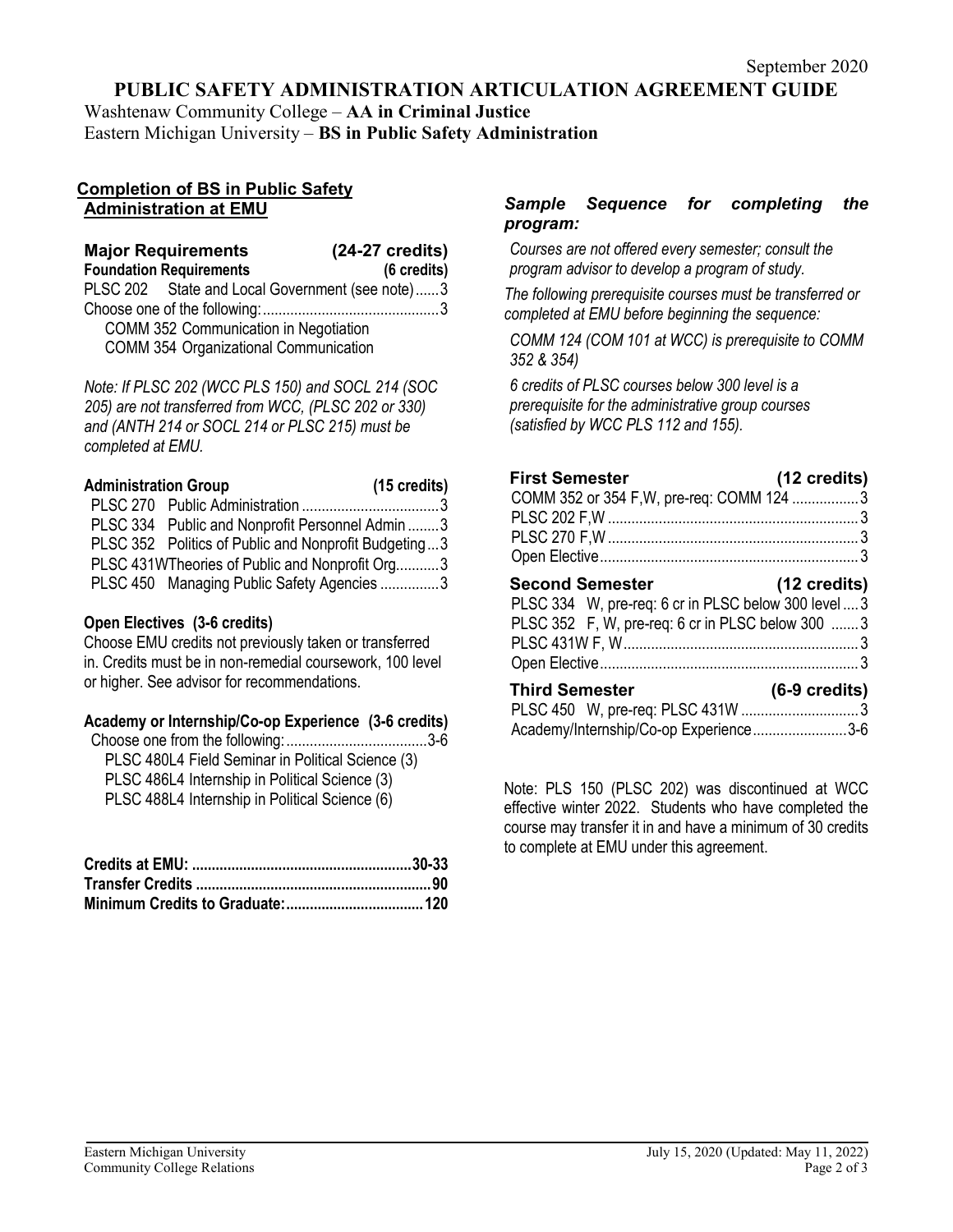**PUBLIC SAFETY ADMINISTRATION ARTICULATION AGREEMENT GUIDE** 

Washtenaw Community College – **AA in Criminal Justice**

Eastern Michigan University – **BS in Public Safety Administration**

#### **Completion of BS in Public Safety Administration at EMU**

| <b>Major Requirements</b>                       | $(24-27 \text{ credits})$ |
|-------------------------------------------------|---------------------------|
| <b>Foundation Requirements</b>                  | (6 credits)               |
| PLSC 202 State and Local Government (see note)3 |                           |
|                                                 |                           |
| COMM 352 Communication in Negotiation           |                           |
| <b>COMM 354 Organizational Communication</b>    |                           |

*Note: If PLSC 202 (WCC PLS 150) and SOCL 214 (SOC 205) are not transferred from WCC, (PLSC 202 or 330) and (ANTH 214 or SOCL 214 or PLSC 215) must be completed at EMU.* 

| <b>Administration Group</b> |                                                      | $(15 \text{ credits})$ |
|-----------------------------|------------------------------------------------------|------------------------|
|                             |                                                      |                        |
|                             | PLSC 334 Public and Nonprofit Personnel Admin 3      |                        |
|                             | PLSC 352 Politics of Public and Nonprofit Budgeting3 |                        |
|                             | PLSC 431WTheories of Public and Nonprofit Org3       |                        |
|                             | PLSC 450 Managing Public Safety Agencies 3           |                        |

## **Open Electives (3-6 credits)**

Choose EMU credits not previously taken or transferred in. Credits must be in non-remedial coursework, 100 level or higher. See advisor for recommendations.

## **Academy or Internship/Co-op Experience (3-6 credits)**

| PLSC 480L4 Field Seminar in Political Science (3) |  |
|---------------------------------------------------|--|
| PLSC 486L4 Internship in Political Science (3)    |  |
| PLSC 488L4 Internship in Political Science (6)    |  |

## *Sample Sequence for completing the program:*

*Courses are not offered every semester; consult the program advisor to develop a program of study.*

*The following prerequisite courses must be transferred or completed at EMU before beginning the sequence:*

*COMM 124 (COM 101 at WCC) is prerequisite to COMM 352 & 354)*

*6 credits of PLSC courses below 300 level is a prerequisite for the administrative group courses (satisfied by WCC PLS 112 and 155).*

| <b>First Semester</b>                                | (12 credits)            |
|------------------------------------------------------|-------------------------|
| COMM 352 or 354 F, W, pre-req: COMM 124 3            |                         |
|                                                      |                         |
|                                                      |                         |
|                                                      |                         |
| (12 credits)<br><b>Second Semester</b>               |                         |
| PLSC 334 W, pre-req: 6 cr in PLSC below 300 level  3 |                         |
| PLSC 352 F, W, pre-req: 6 cr in PLSC below 300  3    |                         |
|                                                      |                         |
|                                                      |                         |
| <b>Third Semester</b>                                | $(6-9 \text{ credits})$ |
|                                                      |                         |
| Academy/Internship/Co-op Experience3-6               |                         |

Note: PLS 150 (PLSC 202) was discontinued at WCC effective winter 2022. Students who have completed the course may transfer it in and have a minimum of 30 credits to complete at EMU under this agreement.